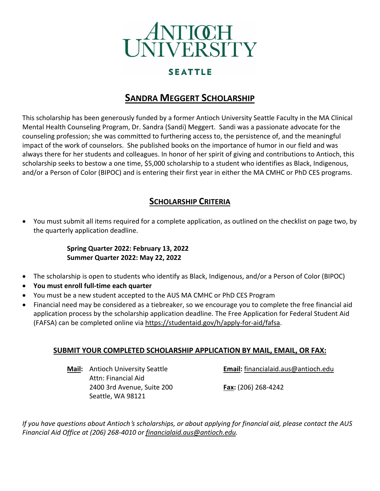

## **SEATTLE**

# **SANDRA MEGGERT SCHOLARSHIP**

This scholarship has been generously funded by a former Antioch University Seattle Faculty in the MA Clinical Mental Health Counseling Program, Dr. Sandra (Sandi) Meggert. Sandi was a passionate advocate for the counseling profession; she was committed to furthering access to, the persistence of, and the meaningful impact of the work of counselors. She published books on the importance of humor in our field and was always there for her students and colleagues. In honor of her spirit of giving and contributions to Antioch, this scholarship seeks to bestow a one time, \$5,000 scholarship to a student who identifies as Black, Indigenous, and/or a Person of Color (BIPOC) and is entering their first year in either the MA CMHC or PhD CES programs.

## **SCHOLARSHIP CRITERIA**

• You must submit all items required for a complete application, as outlined on the checklist on page two, by the quarterly application deadline.

#### **Spring Quarter 2022: February 13, 2022 Summer Quarter 2022: May 22, 2022**

- The scholarship is open to students who identify as Black, Indigenous, and/or a Person of Color (BIPOC)
- **You must enroll full-time each quarter**
- You must be a new student accepted to the AUS MA CMHC or PhD CES Program
- Financial need may be considered as a tiebreaker, so we encourage you to complete the free financial aid application process by the scholarship application deadline. The Free Application for Federal Student Aid (FAFSA) can be completed online via [https://studentaid.gov/h/apply-for-aid/fafsa.](https://studentaid.gov/h/apply-for-aid/fafsa)

#### **SUBMIT YOUR COMPLETED SCHOLARSHIP APPLICATION BY MAIL, EMAIL, OR FAX:**

Attn: Financial Aid 2400 3rd Avenue, Suite 200 **Fax:** (206) 268-4242 Seattle, WA 98121

**Mail:** Antioch University Seattle **Email:** [financialaid.aus@antioch.edu](mailto:financialaid.aus@antioch.edu)

If you have questions about Antioch's scholarships, or about applying for financial aid, please contact the AUS *Financial Aid Office at (206) 268-4010 or [financialaid.aus@antioch.edu.](mailto:financialaid.aus@antioch.edu)*